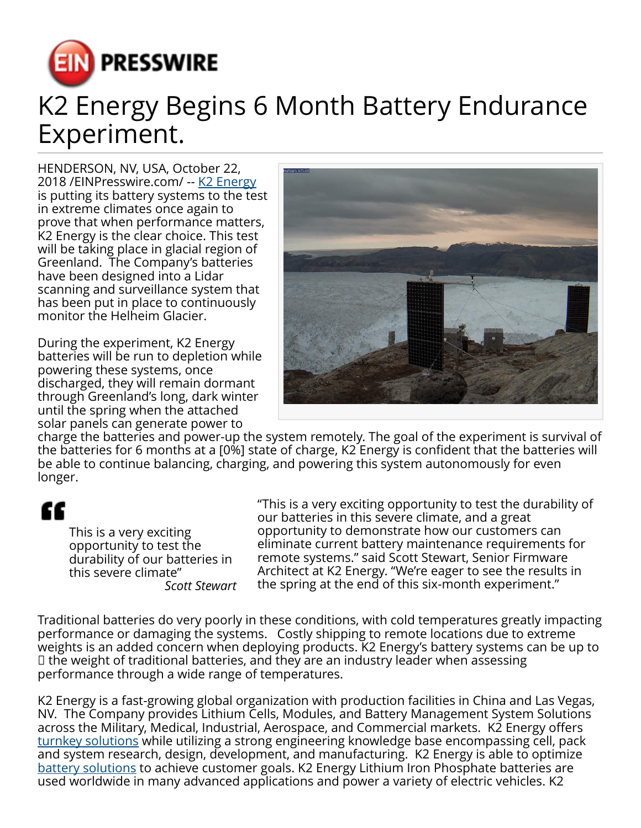

## K2 Energy Begins 6 Month Battery Endurance Experiment.

HENDERSON, NV, USA, October 22, 2018 / [EINPresswire.com](http://www.einpresswire.com) / -- [K2 Energy](https://k2battery.com) is putting its battery systems to the test in extreme climates once again to prove that when performance matters, K2 Energy is the clear choice. This test will be taking place in glacial region of Greenland. The Company's batteries have been designed into a Lidar scanning and surveillance system that has been put in place to continuously monitor the Helheim Glacier.

During the experiment, K2 Energy batteries will be run to depletion while powering these systems, once discharged, they will remain dormant through Greenland's long, dark winter until the spring when the attached solar panels can generate power to



charge the batteries and power-up the system remotely. The goal of the experiment is survival of the batteries for 6 months at a [0%] state of charge, K2 Energy is confident that the batteries will be able to continue balancing, charging, and powering this system autonomously for even longer.

## Æ

This is a very exciting opportunity to test the durability of our batteries in this severe climate" *Scott Stewart* "This is a very exciting opportunity to test the durability of our batteries in this severe climate, and a great opportunity to demonstrate how our customers can eliminate current battery maintenance requirements for remote systems." said Scott Stewart, Senior Firmware Architect at K2 Energy. "We're eager to see the results in the spring at the end of this six-month experiment."

Traditional batteries do very poorly in these conditions, with cold temperatures greatly impacting performance or damaging the systems. Costly shipping to remote locations due to extreme weights is an added concern when deploying products. K2 Energy's battery systems can be up to ⅓ the weight of traditional batteries, and they are an industry leader when assessing performance through a wide range of temperatures.

K2 Energy is a fast-growing global organization with production facilities in China and Las Vegas, NV. The Company provides Lithium Cells, Modules, and Battery Management System Solutions across the Military, Medical, Industrial, Aerospace, and Commercial markets. K2 Energy offers [turnkey solutions](https://k2battery.com/contact/) while utilizing a strong engineering knowledge base encompassing cell, pack and system research, design, development, and manufacturing. K2 Energy is able to optimize [battery solutions](https://k2battery.com/technology) to achieve customer goals. K2 Energy Lithium Iron Phosphate batteries are used worldwide in many advanced applications and power a variety of electric vehicles. K2